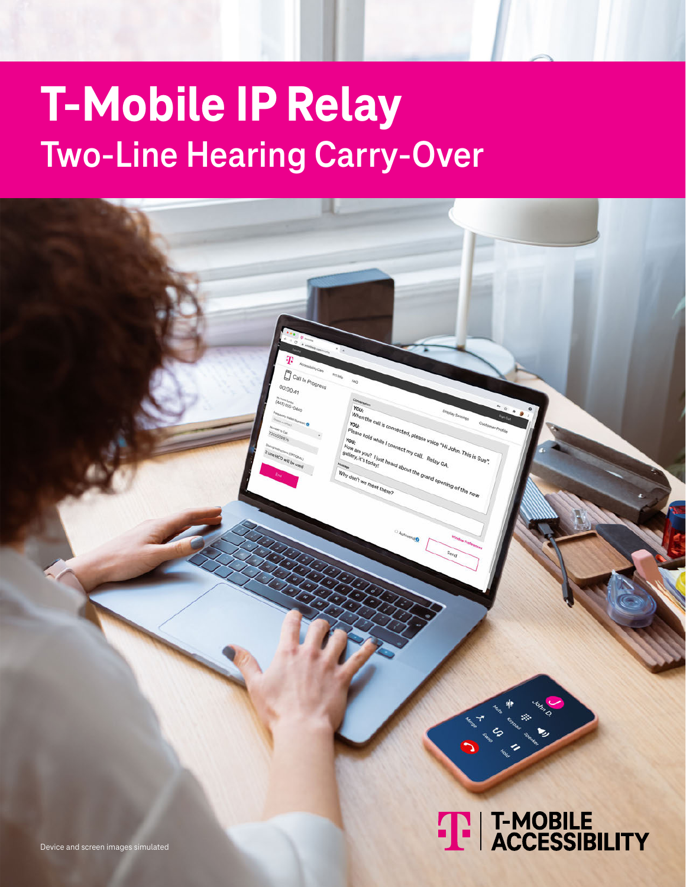# **T-Mobile IP Relay Two-Line Hearing Carry-Over**

D  $00:00:41$ 



ohn. This is Sue".

U. Relay GA. e grand

Device and screen images simulated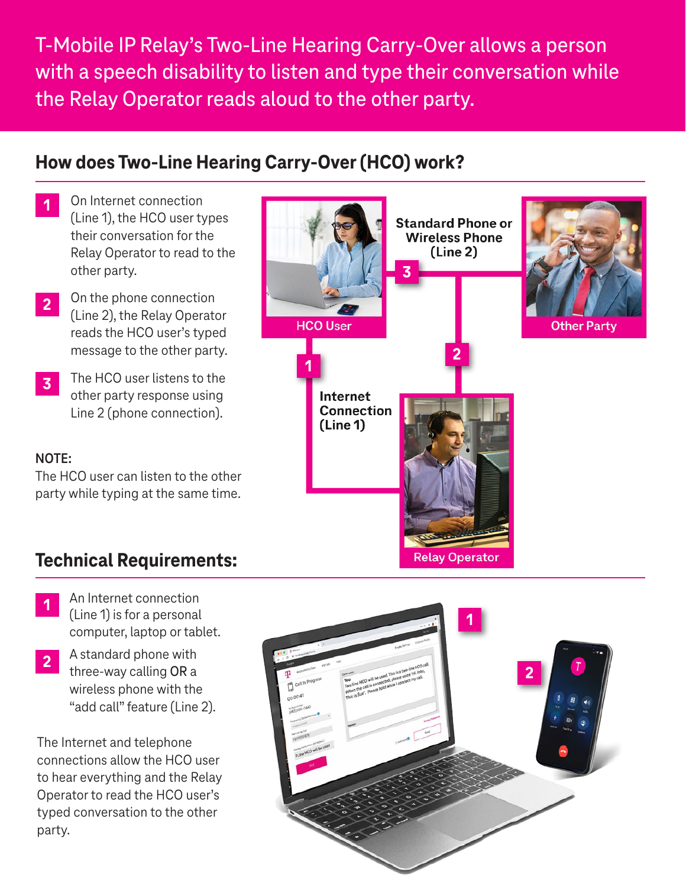T-Mobile IP Relay's Two-Line Hearing Carry-Over allows a person with a speech disability to listen and type their conversation while the Relay Operator reads aloud to the other party.

#### **How does Two-Line Hearing Carry-Over (HCO) work?**

- On Internet connection (Line 1), the HCO user types their conversation for the Relay Operator to read to the other party. **1**
- On the phone connection (Line 2), the Relay Operator reads the HCO user's typed message to the other party. **2**
- The HCO user listens to the other party response using Line 2 (phone connection). **3**

#### **NOTE:**

The HCO user can listen to the other party while typing at the same time.



#### **Technical Requirements:**

- An Internet connection (Line 1) is for a personal computer, laptop or tablet. **1**
- A standard phone with three-way calling OR a wireless phone with the "add call" feature (Line 2). **2**

The Internet and telephone connections allow the HCO user to hear everything and the Relay Operator to read the HCO user's typed conversation to the other party.

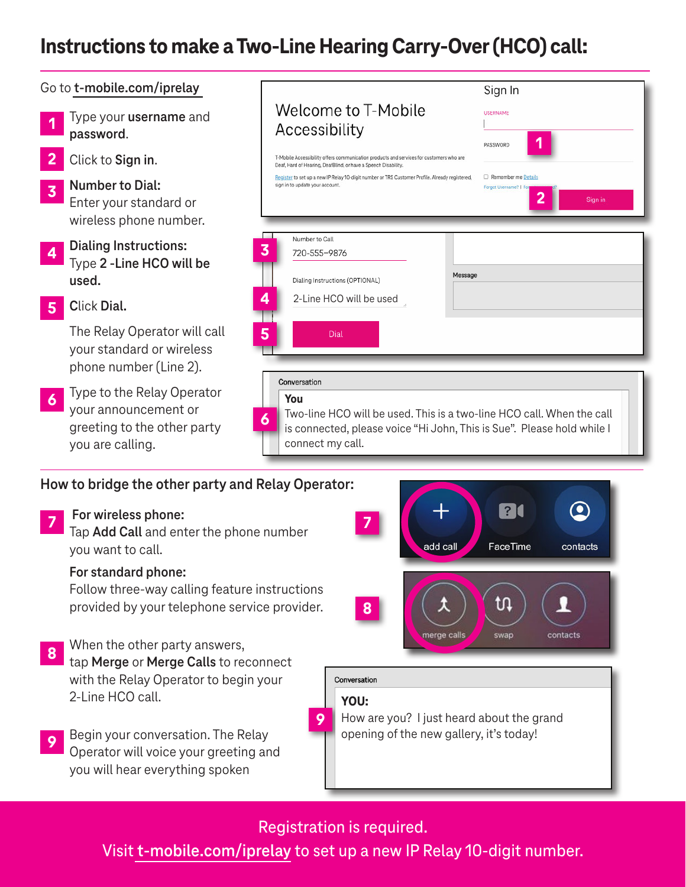### **Instructions to make a Two-Line Hearing Carry-Over (HCO) call:**



tap **Merge** or **Merge Calls** to reconnect with the Relay Operator to begin your 2-Line HCO call. **8**

Begin your conversation. The Relay Operator will voice your greeting and you will hear everything spoken **9**

#### Registration is required.

**YOU:** 

Conversation

How are you? I just heard about the grand opening of the new gallery, it's today!

**9**

Visit **[t-mobile.com/iprelay](https://www.tmobileip.com/auth/login)** to set up a new IP Relay 10-digit number.